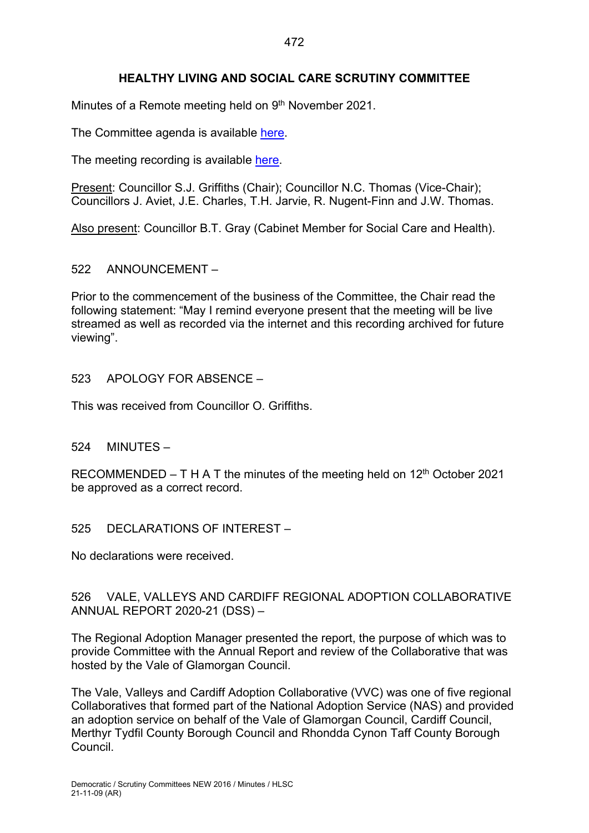## **HEALTHY LIVING AND SOCIAL CARE SCRUTINY COMMITTEE**

Minutes of a Remote meeting held on 9<sup>th</sup> November 2021.

The Committee agenda is available [here.](https://www.valeofglamorgan.gov.uk/en/our_council/Council-Structure/minutes,_agendas_and_reports/agendas/Scrutiny-HLSC/2021/21-11-09.aspx)

The meeting recording is available [here.](https://www.youtube.com/watch?v=0l1UjQho3Xo)

Present: Councillor S.J. Griffiths (Chair); Councillor N.C. Thomas (Vice-Chair); Councillors J. Aviet, J.E. Charles, T.H. Jarvie, R. Nugent-Finn and J.W. Thomas.

Also present: Councillor B.T. Gray (Cabinet Member for Social Care and Health).

#### 522 ANNOUNCEMENT –

Prior to the commencement of the business of the Committee, the Chair read the following statement: "May I remind everyone present that the meeting will be live streamed as well as recorded via the internet and this recording archived for future viewing".

#### 523 APOLOGY FOR ABSENCE –

This was received from Councillor O. Griffiths.

#### 524 MINUTES –

RECOMMENDED – T H A T the minutes of the meeting held on  $12<sup>th</sup>$  October 2021 be approved as a correct record.

525 DECLARATIONS OF INTEREST –

No declarations were received.

### 526 VALE, VALLEYS AND CARDIFF REGIONAL ADOPTION COLLABORATIVE ANNUAL REPORT 2020-21 (DSS) –

The Regional Adoption Manager presented the report, the purpose of which was to provide Committee with the Annual Report and review of the Collaborative that was hosted by the Vale of Glamorgan Council.

The Vale, Valleys and Cardiff Adoption Collaborative (VVC) was one of five regional Collaboratives that formed part of the National Adoption Service (NAS) and provided an adoption service on behalf of the Vale of Glamorgan Council, Cardiff Council, Merthyr Tydfil County Borough Council and Rhondda Cynon Taff County Borough Council.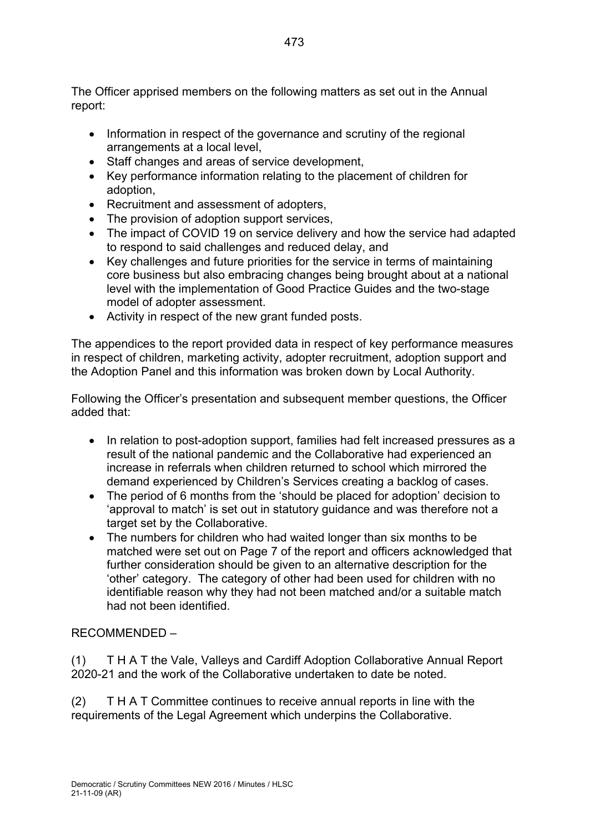The Officer apprised members on the following matters as set out in the Annual report:

- Information in respect of the governance and scrutiny of the regional arrangements at a local level,
- Staff changes and areas of service development,
- Key performance information relating to the placement of children for adoption,
- Recruitment and assessment of adopters,
- The provision of adoption support services,
- The impact of COVID 19 on service delivery and how the service had adapted to respond to said challenges and reduced delay, and
- Key challenges and future priorities for the service in terms of maintaining core business but also embracing changes being brought about at a national level with the implementation of Good Practice Guides and the two-stage model of adopter assessment.
- Activity in respect of the new grant funded posts.

The appendices to the report provided data in respect of key performance measures in respect of children, marketing activity, adopter recruitment, adoption support and the Adoption Panel and this information was broken down by Local Authority.

Following the Officer's presentation and subsequent member questions, the Officer added that:

- In relation to post-adoption support, families had felt increased pressures as a result of the national pandemic and the Collaborative had experienced an increase in referrals when children returned to school which mirrored the demand experienced by Children's Services creating a backlog of cases.
- The period of 6 months from the 'should be placed for adoption' decision to 'approval to match' is set out in statutory guidance and was therefore not a target set by the Collaborative.
- The numbers for children who had waited longer than six months to be matched were set out on Page 7 of the report and officers acknowledged that further consideration should be given to an alternative description for the 'other' category. The category of other had been used for children with no identifiable reason why they had not been matched and/or a suitable match had not been identified.

# RECOMMENDED –

(1) T H A T the Vale, Valleys and Cardiff Adoption Collaborative Annual Report 2020-21 and the work of the Collaborative undertaken to date be noted.

(2) T H A T Committee continues to receive annual reports in line with the requirements of the Legal Agreement which underpins the Collaborative.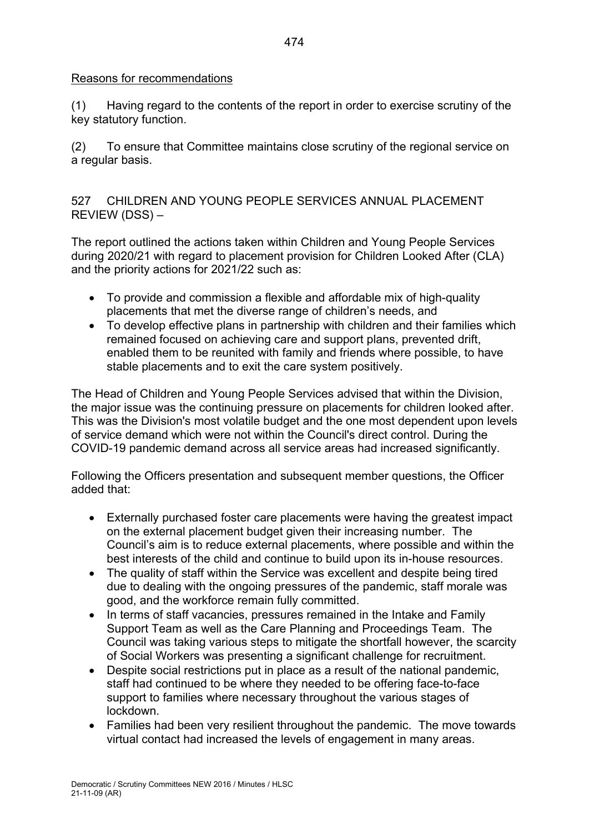#### Reasons for recommendations

(1) Having regard to the contents of the report in order to exercise scrutiny of the key statutory function.

(2) To ensure that Committee maintains close scrutiny of the regional service on a regular basis.

527 CHILDREN AND YOUNG PEOPLE SERVICES ANNUAL PLACEMENT REVIEW (DSS) –

The report outlined the actions taken within Children and Young People Services during 2020/21 with regard to placement provision for Children Looked After (CLA) and the priority actions for 2021/22 such as:

- To provide and commission a flexible and affordable mix of high-quality placements that met the diverse range of children's needs, and
- To develop effective plans in partnership with children and their families which remained focused on achieving care and support plans, prevented drift, enabled them to be reunited with family and friends where possible, to have stable placements and to exit the care system positively.

The Head of Children and Young People Services advised that within the Division, the major issue was the continuing pressure on placements for children looked after. This was the Division's most volatile budget and the one most dependent upon levels of service demand which were not within the Council's direct control. During the COVID-19 pandemic demand across all service areas had increased significantly.

Following the Officers presentation and subsequent member questions, the Officer added that:

- Externally purchased foster care placements were having the greatest impact on the external placement budget given their increasing number. The Council's aim is to reduce external placements, where possible and within the best interests of the child and continue to build upon its in-house resources.
- The quality of staff within the Service was excellent and despite being tired due to dealing with the ongoing pressures of the pandemic, staff morale was good, and the workforce remain fully committed.
- In terms of staff vacancies, pressures remained in the Intake and Family Support Team as well as the Care Planning and Proceedings Team. The Council was taking various steps to mitigate the shortfall however, the scarcity of Social Workers was presenting a significant challenge for recruitment.
- Despite social restrictions put in place as a result of the national pandemic, staff had continued to be where they needed to be offering face-to-face support to families where necessary throughout the various stages of lockdown.
- Families had been very resilient throughout the pandemic. The move towards virtual contact had increased the levels of engagement in many areas.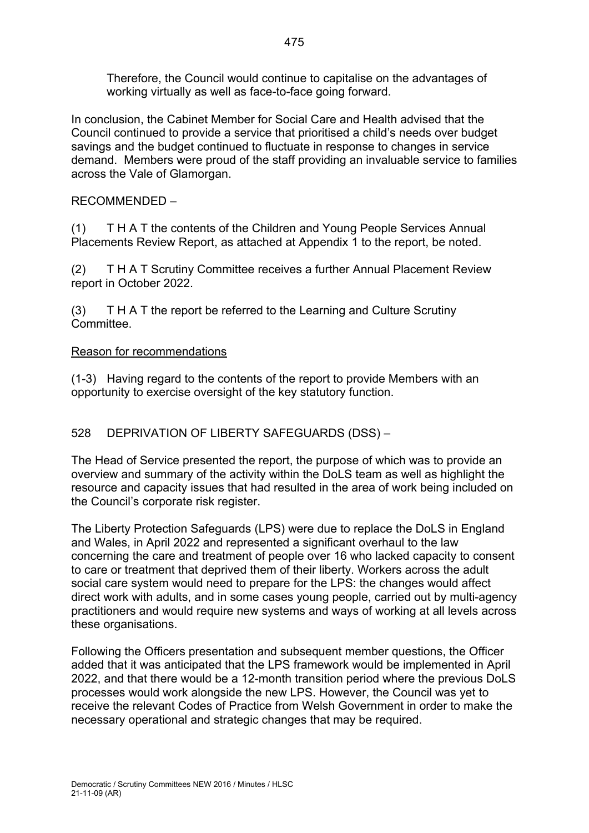Therefore, the Council would continue to capitalise on the advantages of working virtually as well as face-to-face going forward.

In conclusion, the Cabinet Member for Social Care and Health advised that the Council continued to provide a service that prioritised a child's needs over budget savings and the budget continued to fluctuate in response to changes in service demand. Members were proud of the staff providing an invaluable service to families across the Vale of Glamorgan.

RECOMMENDED –

(1) T H A T the contents of the Children and Young People Services Annual Placements Review Report, as attached at Appendix 1 to the report, be noted.

(2) T H A T Scrutiny Committee receives a further Annual Placement Review report in October 2022.

(3) T H A T the report be referred to the Learning and Culture Scrutiny **Committee.** 

#### Reason for recommendations

(1-3) Having regard to the contents of the report to provide Members with an opportunity to exercise oversight of the key statutory function.

## 528 DEPRIVATION OF LIBERTY SAFEGUARDS (DSS) –

The Head of Service presented the report, the purpose of which was to provide an overview and summary of the activity within the DoLS team as well as highlight the resource and capacity issues that had resulted in the area of work being included on the Council's corporate risk register.

The Liberty Protection Safeguards (LPS) were due to replace the DoLS in England and Wales, in April 2022 and represented a significant overhaul to the law concerning the care and treatment of people over 16 who lacked capacity to consent to care or treatment that deprived them of their liberty. Workers across the adult social care system would need to prepare for the LPS: the changes would affect direct work with adults, and in some cases young people, carried out by multi-agency practitioners and would require new systems and ways of working at all levels across these organisations.

Following the Officers presentation and subsequent member questions, the Officer added that it was anticipated that the LPS framework would be implemented in April 2022, and that there would be a 12-month transition period where the previous DoLS processes would work alongside the new LPS. However, the Council was yet to receive the relevant Codes of Practice from Welsh Government in order to make the necessary operational and strategic changes that may be required.